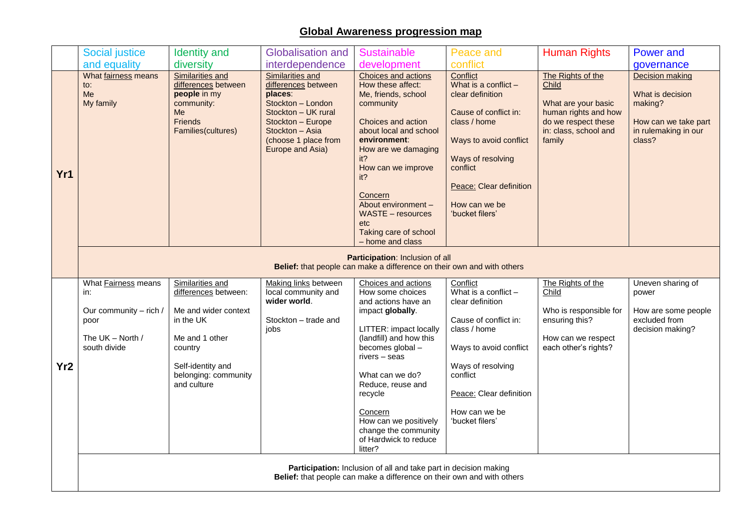## **Global Awareness progression map**

|                 | <b>Social justice</b>                                                                                                         | <b>Identity</b> and                                                                                          | <b>Globalisation and</b>                                                                                                                                                           | <b>Sustainable</b>                                                                                                                                                                                                                                                                                          | Peace and                                                                                                                                                                                                                 | <b>Human Rights</b>                                                                                                                 | <b>Power and</b>                                                                                         |  |
|-----------------|-------------------------------------------------------------------------------------------------------------------------------|--------------------------------------------------------------------------------------------------------------|------------------------------------------------------------------------------------------------------------------------------------------------------------------------------------|-------------------------------------------------------------------------------------------------------------------------------------------------------------------------------------------------------------------------------------------------------------------------------------------------------------|---------------------------------------------------------------------------------------------------------------------------------------------------------------------------------------------------------------------------|-------------------------------------------------------------------------------------------------------------------------------------|----------------------------------------------------------------------------------------------------------|--|
|                 | and equality                                                                                                                  | diversity                                                                                                    | interdependence                                                                                                                                                                    | development                                                                                                                                                                                                                                                                                                 | conflict                                                                                                                                                                                                                  |                                                                                                                                     | governance                                                                                               |  |
| Yr1             | What fairness means<br>to:<br>Me<br>My family                                                                                 | Similarities and<br>differences between<br>people in my<br>community:<br>Me<br>Friends<br>Families(cultures) | Similarities and<br>differences between<br>places:<br>Stockton - London<br>Stockton - UK rural<br>Stockton - Europe<br>Stockton - Asia<br>(choose 1 place from<br>Europe and Asia) | Choices and actions<br>How these affect:<br>Me, friends, school<br>community<br>Choices and action<br>about local and school<br>environment:<br>How are we damaging<br>it<br>How can we improve<br>it?<br>Concern<br>About environment -<br><b>WASTE - resources</b><br><b>etc</b><br>Taking care of school | Conflict<br>What is a conflict $-$<br>clear definition<br>Cause of conflict in:<br>class / home<br>Ways to avoid conflict<br>Ways of resolving<br>conflict<br>Peace: Clear definition<br>How can we be<br>'bucket filers' | The Rights of the<br>Child<br>What are your basic<br>human rights and how<br>do we respect these<br>in: class, school and<br>family | Decision making<br>What is decision<br>making?<br>How can we take part<br>in rulemaking in our<br>class? |  |
|                 | - home and class<br>Participation: Inclusion of all<br>Belief: that people can make a difference on their own and with others |                                                                                                              |                                                                                                                                                                                    |                                                                                                                                                                                                                                                                                                             |                                                                                                                                                                                                                           |                                                                                                                                     |                                                                                                          |  |
|                 | What Fairness means<br>in:                                                                                                    | Similarities and<br>differences between:                                                                     | Making links between<br>local community and                                                                                                                                        | Choices and actions<br>How some choices                                                                                                                                                                                                                                                                     | Conflict<br>What is a conflict $-$                                                                                                                                                                                        | The Rights of the<br>Child                                                                                                          | Uneven sharing of<br>power                                                                               |  |
|                 | Our community - rich /<br>poor                                                                                                | Me and wider context<br>in the UK                                                                            | wider world.<br>Stockton - trade and                                                                                                                                               | and actions have an<br>impact globally.                                                                                                                                                                                                                                                                     | clear definition<br>Cause of conflict in:                                                                                                                                                                                 | Who is responsible for<br>ensuring this?                                                                                            | How are some people<br>excluded from                                                                     |  |
|                 | The UK - North /                                                                                                              | Me and 1 other                                                                                               | jobs                                                                                                                                                                               | LITTER: impact locally<br>(landfill) and how this                                                                                                                                                                                                                                                           | class / home                                                                                                                                                                                                              | How can we respect                                                                                                                  | decision making?                                                                                         |  |
|                 | south divide                                                                                                                  | country                                                                                                      |                                                                                                                                                                                    | becomes global -<br>rivers - seas                                                                                                                                                                                                                                                                           | Ways to avoid conflict                                                                                                                                                                                                    | each other's rights?                                                                                                                |                                                                                                          |  |
| Yr <sub>2</sub> |                                                                                                                               | Self-identity and<br>belonging: community                                                                    |                                                                                                                                                                                    | What can we do?                                                                                                                                                                                                                                                                                             | Ways of resolving<br>conflict                                                                                                                                                                                             |                                                                                                                                     |                                                                                                          |  |
|                 |                                                                                                                               | and culture                                                                                                  |                                                                                                                                                                                    | Reduce, reuse and                                                                                                                                                                                                                                                                                           |                                                                                                                                                                                                                           |                                                                                                                                     |                                                                                                          |  |
|                 |                                                                                                                               |                                                                                                              |                                                                                                                                                                                    | recycle                                                                                                                                                                                                                                                                                                     | Peace: Clear definition                                                                                                                                                                                                   |                                                                                                                                     |                                                                                                          |  |
|                 |                                                                                                                               |                                                                                                              |                                                                                                                                                                                    | Concern<br>How can we positively                                                                                                                                                                                                                                                                            | How can we be<br>'bucket filers'                                                                                                                                                                                          |                                                                                                                                     |                                                                                                          |  |
|                 |                                                                                                                               |                                                                                                              |                                                                                                                                                                                    | change the community<br>of Hardwick to reduce                                                                                                                                                                                                                                                               |                                                                                                                                                                                                                           |                                                                                                                                     |                                                                                                          |  |
|                 |                                                                                                                               |                                                                                                              |                                                                                                                                                                                    | litter?                                                                                                                                                                                                                                                                                                     |                                                                                                                                                                                                                           |                                                                                                                                     |                                                                                                          |  |
|                 | Participation: Inclusion of all and take part in decision making                                                              |                                                                                                              |                                                                                                                                                                                    |                                                                                                                                                                                                                                                                                                             |                                                                                                                                                                                                                           |                                                                                                                                     |                                                                                                          |  |
|                 | Belief: that people can make a difference on their own and with others                                                        |                                                                                                              |                                                                                                                                                                                    |                                                                                                                                                                                                                                                                                                             |                                                                                                                                                                                                                           |                                                                                                                                     |                                                                                                          |  |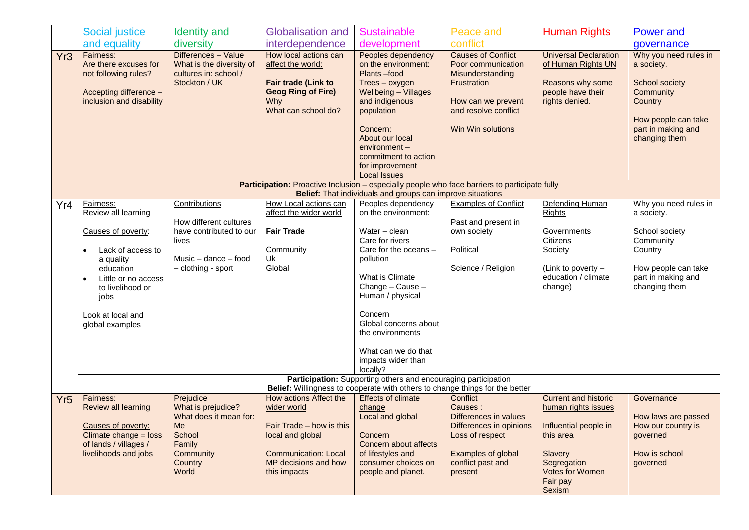|                 | <b>Social justice</b>                                                                                                                                       | <b>Identity</b> and                                                                       | <b>Globalisation and</b>                                                                                                     | <b>Sustainable</b>                                                                                                                                                                                                                                         | Peace and                                                                                                                                             | <b>Human Rights</b>                                                                                           | <b>Power and</b>                                                                                                                            |  |
|-----------------|-------------------------------------------------------------------------------------------------------------------------------------------------------------|-------------------------------------------------------------------------------------------|------------------------------------------------------------------------------------------------------------------------------|------------------------------------------------------------------------------------------------------------------------------------------------------------------------------------------------------------------------------------------------------------|-------------------------------------------------------------------------------------------------------------------------------------------------------|---------------------------------------------------------------------------------------------------------------|---------------------------------------------------------------------------------------------------------------------------------------------|--|
|                 | and equality                                                                                                                                                | diversity                                                                                 | interdependence                                                                                                              | development                                                                                                                                                                                                                                                | conflict                                                                                                                                              |                                                                                                               | governance                                                                                                                                  |  |
| Yr <sub>3</sub> | Fairness:<br>Are there excuses for<br>not following rules?<br>Accepting difference -<br>inclusion and disability                                            | Differences - Value<br>What is the diversity of<br>cultures in: school /<br>Stockton / UK | How local actions can<br>affect the world:<br>Fair trade (Link to<br><b>Geog Ring of Fire)</b><br>Why<br>What can school do? | Peoples dependency<br>on the environment:<br>Plants-food<br>Trees - oxygen<br><b>Wellbeing - Villages</b><br>and indigenous<br>population<br>Concern:<br>About our local<br>environment-<br>commitment to action<br>for improvement<br><b>Local Issues</b> | <b>Causes of Conflict</b><br>Poor communication<br>Misunderstanding<br>Frustration<br>How can we prevent<br>and resolve conflict<br>Win Win solutions | <b>Universal Declaration</b><br>of Human Rights UN<br>Reasons why some<br>people have their<br>rights denied. | Why you need rules in<br>a society.<br>School society<br>Community<br>Country<br>How people can take<br>part in making and<br>changing them |  |
|                 | Participation: Proactive Inclusion - especially people who face barriers to participate fully<br>Belief: That individuals and groups can improve situations |                                                                                           |                                                                                                                              |                                                                                                                                                                                                                                                            |                                                                                                                                                       |                                                                                                               |                                                                                                                                             |  |
| Yr4             | Fairness:<br>Review all learning                                                                                                                            | Contributions                                                                             | How Local actions can<br>affect the wider world                                                                              | Peoples dependency<br>on the environment:                                                                                                                                                                                                                  | <b>Examples of Conflict</b>                                                                                                                           | Defending Human<br>Rights                                                                                     | Why you need rules in<br>a society.                                                                                                         |  |
|                 |                                                                                                                                                             | How different cultures                                                                    |                                                                                                                              |                                                                                                                                                                                                                                                            | Past and present in                                                                                                                                   |                                                                                                               |                                                                                                                                             |  |
|                 | Causes of poverty:                                                                                                                                          | have contributed to our                                                                   | <b>Fair Trade</b>                                                                                                            | Water - clean                                                                                                                                                                                                                                              | own society                                                                                                                                           | Governments                                                                                                   | School society                                                                                                                              |  |
|                 | Lack of access to                                                                                                                                           | lives                                                                                     | Community                                                                                                                    | Care for rivers<br>Care for the oceans -                                                                                                                                                                                                                   | Political                                                                                                                                             | Citizens<br>Society                                                                                           | Community<br>Country                                                                                                                        |  |
|                 | a quality                                                                                                                                                   | Music $-$ dance $-$ food                                                                  | Uk                                                                                                                           | pollution                                                                                                                                                                                                                                                  |                                                                                                                                                       |                                                                                                               |                                                                                                                                             |  |
|                 | education                                                                                                                                                   | - clothing - sport                                                                        | Global                                                                                                                       |                                                                                                                                                                                                                                                            | Science / Religion                                                                                                                                    | (Link to poverty -                                                                                            | How people can take                                                                                                                         |  |
|                 | Little or no access                                                                                                                                         |                                                                                           |                                                                                                                              | What is Climate<br>Change - Cause -                                                                                                                                                                                                                        |                                                                                                                                                       | education / climate<br>change)                                                                                | part in making and<br>changing them                                                                                                         |  |
|                 | to livelihood or<br>jobs                                                                                                                                    |                                                                                           |                                                                                                                              | Human / physical                                                                                                                                                                                                                                           |                                                                                                                                                       |                                                                                                               |                                                                                                                                             |  |
|                 | Look at local and                                                                                                                                           |                                                                                           |                                                                                                                              | Concern                                                                                                                                                                                                                                                    |                                                                                                                                                       |                                                                                                               |                                                                                                                                             |  |
|                 | global examples                                                                                                                                             |                                                                                           |                                                                                                                              | Global concerns about                                                                                                                                                                                                                                      |                                                                                                                                                       |                                                                                                               |                                                                                                                                             |  |
|                 |                                                                                                                                                             |                                                                                           |                                                                                                                              | the environments                                                                                                                                                                                                                                           |                                                                                                                                                       |                                                                                                               |                                                                                                                                             |  |
|                 |                                                                                                                                                             |                                                                                           |                                                                                                                              | What can we do that                                                                                                                                                                                                                                        |                                                                                                                                                       |                                                                                                               |                                                                                                                                             |  |
|                 |                                                                                                                                                             |                                                                                           |                                                                                                                              | impacts wider than                                                                                                                                                                                                                                         |                                                                                                                                                       |                                                                                                               |                                                                                                                                             |  |
|                 |                                                                                                                                                             |                                                                                           |                                                                                                                              | locally?                                                                                                                                                                                                                                                   |                                                                                                                                                       |                                                                                                               |                                                                                                                                             |  |
|                 | Participation: Supporting others and encouraging participation<br>Belief: Willingness to cooperate with others to change things for the better              |                                                                                           |                                                                                                                              |                                                                                                                                                                                                                                                            |                                                                                                                                                       |                                                                                                               |                                                                                                                                             |  |
| Yr <sub>5</sub> | <b>Fairness:</b>                                                                                                                                            | Prejudice                                                                                 | How actions Affect the                                                                                                       | <b>Effects of climate</b>                                                                                                                                                                                                                                  | Conflict                                                                                                                                              | <b>Current and historic</b>                                                                                   | Governance                                                                                                                                  |  |
|                 | Review all learning                                                                                                                                         | What is prejudice?                                                                        | wider world                                                                                                                  | change                                                                                                                                                                                                                                                     | Causes:                                                                                                                                               | human rights issues                                                                                           |                                                                                                                                             |  |
|                 | Causes of poverty:                                                                                                                                          | What does it mean for:                                                                    | Fair Trade - how is this                                                                                                     | Local and global                                                                                                                                                                                                                                           | Differences in values                                                                                                                                 | Influential people in                                                                                         | How laws are passed<br>How our country is                                                                                                   |  |
|                 | Climate change = loss                                                                                                                                       | Me<br>School                                                                              | local and global                                                                                                             | Concern                                                                                                                                                                                                                                                    | Differences in opinions<br>Loss of respect                                                                                                            | this area                                                                                                     | governed                                                                                                                                    |  |
|                 | of lands / villages /                                                                                                                                       | Family                                                                                    |                                                                                                                              | Concern about affects                                                                                                                                                                                                                                      |                                                                                                                                                       |                                                                                                               |                                                                                                                                             |  |
|                 | livelihoods and jobs                                                                                                                                        | Community                                                                                 | <b>Communication: Local</b>                                                                                                  | of lifestyles and                                                                                                                                                                                                                                          | Examples of global                                                                                                                                    | <b>Slavery</b>                                                                                                | How is school                                                                                                                               |  |
|                 |                                                                                                                                                             | Country<br>World                                                                          | MP decisions and how<br>this impacts                                                                                         | consumer choices on<br>people and planet.                                                                                                                                                                                                                  | conflict past and<br>present                                                                                                                          | Segregation<br><b>Votes for Women</b>                                                                         | governed                                                                                                                                    |  |
|                 |                                                                                                                                                             |                                                                                           |                                                                                                                              |                                                                                                                                                                                                                                                            |                                                                                                                                                       | Fair pay<br>Sexism                                                                                            |                                                                                                                                             |  |